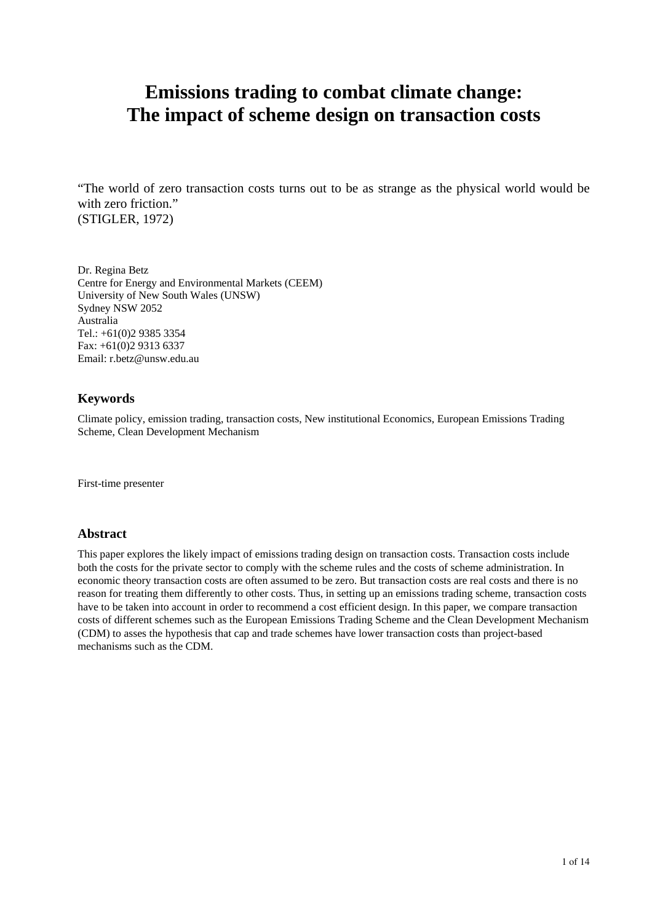# **Emissions trading to combat climate change: The impact of scheme design on transaction costs**

"The world of zero transaction costs turns out to be as strange as the physical world would be with zero friction." (STIGLER, 1972)

Dr. Regina Betz Centre for Energy and Environmental Markets (CEEM) University of New South Wales (UNSW) Sydney NSW 2052 Australia Tel.: +61(0)2 9385 3354 Fax: +61(0)2 9313 6337 Email: r.betz@unsw.edu.au

#### **Keywords**

Climate policy, emission trading, transaction costs, New institutional Economics, European Emissions Trading Scheme, Clean Development Mechanism

First-time presenter

#### **Abstract**

This paper explores the likely impact of emissions trading design on transaction costs. Transaction costs include both the costs for the private sector to comply with the scheme rules and the costs of scheme administration. In economic theory transaction costs are often assumed to be zero. But transaction costs are real costs and there is no reason for treating them differently to other costs. Thus, in setting up an emissions trading scheme, transaction costs have to be taken into account in order to recommend a cost efficient design. In this paper, we compare transaction costs of different schemes such as the European Emissions Trading Scheme and the Clean Development Mechanism (CDM) to asses the hypothesis that cap and trade schemes have lower transaction costs than project-based mechanisms such as the CDM.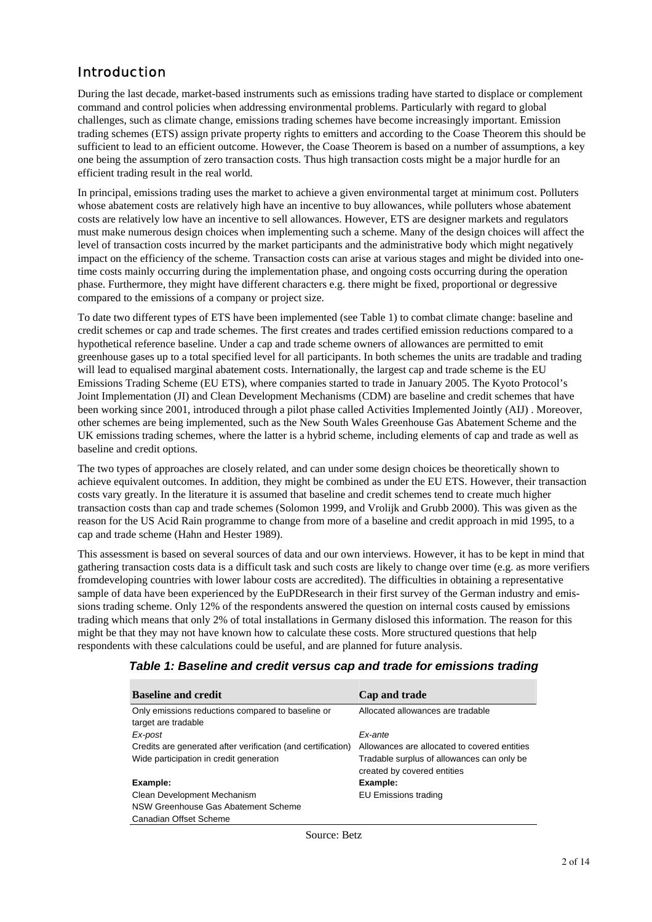### Introduction

During the last decade, market-based instruments such as emissions trading have started to displace or complement command and control policies when addressing environmental problems. Particularly with regard to global challenges, such as climate change, emissions trading schemes have become increasingly important. Emission trading schemes (ETS) assign private property rights to emitters and according to the Coase Theorem this should be sufficient to lead to an efficient outcome. However, the Coase Theorem is based on a number of assumptions, a key one being the assumption of zero transaction costs. Thus high transaction costs might be a major hurdle for an efficient trading result in the real world.

In principal, emissions trading uses the market to achieve a given environmental target at minimum cost. Polluters whose abatement costs are relatively high have an incentive to buy allowances, while polluters whose abatement costs are relatively low have an incentive to sell allowances. However, ETS are designer markets and regulators must make numerous design choices when implementing such a scheme. Many of the design choices will affect the level of transaction costs incurred by the market participants and the administrative body which might negatively impact on the efficiency of the scheme. Transaction costs can arise at various stages and might be divided into onetime costs mainly occurring during the implementation phase, and ongoing costs occurring during the operation phase. Furthermore, they might have different characters e.g. there might be fixed, proportional or degressive compared to the emissions of a company or project size.

To date two different types of ETS have been implemented (see Table 1) to combat climate change: baseline and credit schemes or cap and trade schemes. The first creates and trades certified emission reductions compared to a hypothetical reference baseline. Under a cap and trade scheme owners of allowances are permitted to emit greenhouse gases up to a total specified level for all participants. In both schemes the units are tradable and trading will lead to equalised marginal abatement costs. Internationally, the largest cap and trade scheme is the EU Emissions Trading Scheme (EU ETS), where companies started to trade in January 2005. The Kyoto Protocol's Joint Implementation (JI) and Clean Development Mechanisms (CDM) are baseline and credit schemes that have been working since 2001, introduced through a pilot phase called Activities Implemented Jointly (AIJ) . Moreover, other schemes are being implemented, such as the New South Wales Greenhouse Gas Abatement Scheme and the UK emissions trading schemes, where the latter is a hybrid scheme, including elements of cap and trade as well as baseline and credit options.

The two types of approaches are closely related, and can under some design choices be theoretically shown to achieve equivalent outcomes. In addition, they might be combined as under the EU ETS. However, their transaction costs vary greatly. In the literature it is assumed that baseline and credit schemes tend to create much higher transaction costs than cap and trade schemes (Solomon 1999, and Vrolijk and Grubb 2000). This was given as the reason for the US Acid Rain programme to change from more of a baseline and credit approach in mid 1995, to a cap and trade scheme (Hahn and Hester 1989).

This assessment is based on several sources of data and our own interviews. However, it has to be kept in mind that gathering transaction costs data is a difficult task and such costs are likely to change over time (e.g. as more verifiers fromdeveloping countries with lower labour costs are accredited). The difficulties in obtaining a representative sample of data have been experienced by the EuPDResearch in their first survey of the German industry and emissions trading scheme. Only 12% of the respondents answered the question on internal costs caused by emissions trading which means that only 2% of total installations in Germany dislosed this information. The reason for this might be that they may not have known how to calculate these costs. More structured questions that help respondents with these calculations could be useful, and are planned for future analysis.

| <b>Baseline and credit</b>                                   | Cap and trade                                                             |
|--------------------------------------------------------------|---------------------------------------------------------------------------|
| Only emissions reductions compared to baseline or            | Allocated allowances are tradable                                         |
| target are tradable                                          |                                                                           |
| Ex-post                                                      | Fx-ante                                                                   |
| Credits are generated after verification (and certification) | Allowances are allocated to covered entities                              |
| Wide participation in credit generation                      | Tradable surplus of allowances can only be<br>created by covered entities |
| Example:                                                     | Example:                                                                  |
| Clean Development Mechanism                                  | <b>EU Emissions trading</b>                                               |
| NSW Greenhouse Gas Abatement Scheme                          |                                                                           |
| Canadian Offset Scheme                                       |                                                                           |

### *Table 1: Baseline and credit versus cap and trade for emissions trading*

Source: Betz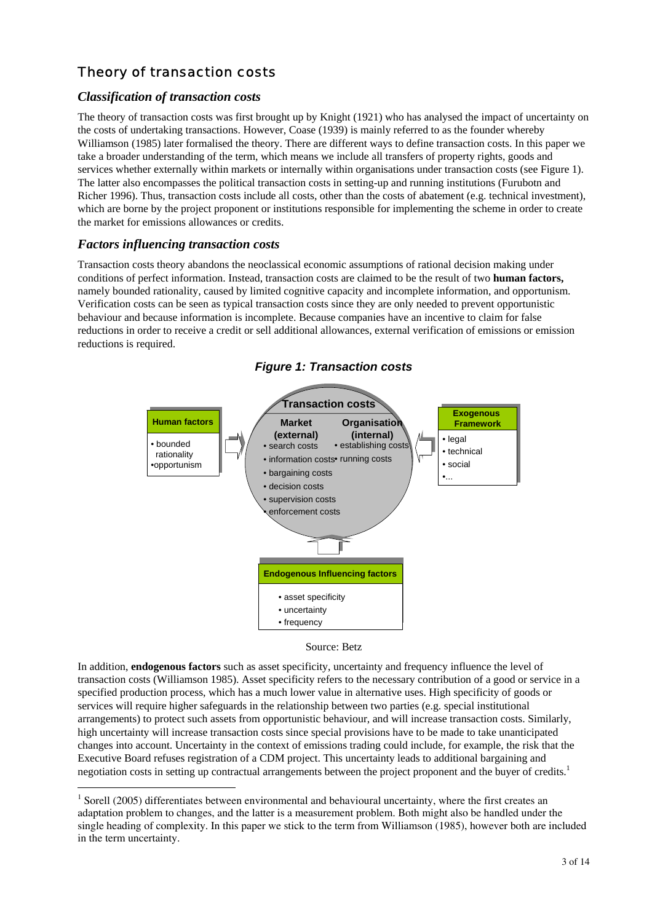## Theory of transaction costs

#### *Classification of transaction costs*

The theory of transaction costs was first brought up by Knight (1921) who has analysed the impact of uncertainty on the costs of undertaking transactions. However, Coase (1939) is mainly referred to as the founder whereby Williamson (1985) later formalised the theory. There are different ways to define transaction costs. In this paper we take a broader understanding of the term, which means we include all transfers of property rights, goods and services whether externally within markets or internally within organisations under transaction costs (see Figure 1). The latter also encompasses the political transaction costs in setting-up and running institutions (Furubotn and Richer 1996). Thus, transaction costs include all costs, other than the costs of abatement (e.g. technical investment), which are borne by the project proponent or institutions responsible for implementing the scheme in order to create the market for emissions allowances or credits.

#### *Factors influencing transaction costs*

 $\overline{a}$ 

Transaction costs theory abandons the neoclassical economic assumptions of rational decision making under conditions of perfect information. Instead, transaction costs are claimed to be the result of two **human factors,** namely bounded rationality, caused by limited cognitive capacity and incomplete information, and opportunism. Verification costs can be seen as typical transaction costs since they are only needed to prevent opportunistic behaviour and because information is incomplete. Because companies have an incentive to claim for false reductions in order to receive a credit or sell additional allowances, external verification of emissions or emission reductions is required.







In addition, **endogenous factors** such as asset specificity, uncertainty and frequency influence the level of transaction costs (Williamson 1985). Asset specificity refers to the necessary contribution of a good or service in a specified production process, which has a much lower value in alternative uses. High specificity of goods or services will require higher safeguards in the relationship between two parties (e.g. special institutional arrangements) to protect such assets from opportunistic behaviour, and will increase transaction costs. Similarly, high uncertainty will increase transaction costs since special provisions have to be made to take unanticipated changes into account. Uncertainty in the context of emissions trading could include, for example, the risk that the Executive Board refuses registration of a CDM project. This uncertainty leads to additional bargaining and negotiation costs in setting up contractual arrangements between the project proponent and the buyer of credits.<sup>1</sup>

<sup>&</sup>lt;sup>1</sup> Sorell (2005) differentiates between environmental and behavioural uncertainty, where the first creates an adaptation problem to changes, and the latter is a measurement problem. Both might also be handled under the single heading of complexity. In this paper we stick to the term from Williamson (1985), however both are included in the term uncertainty.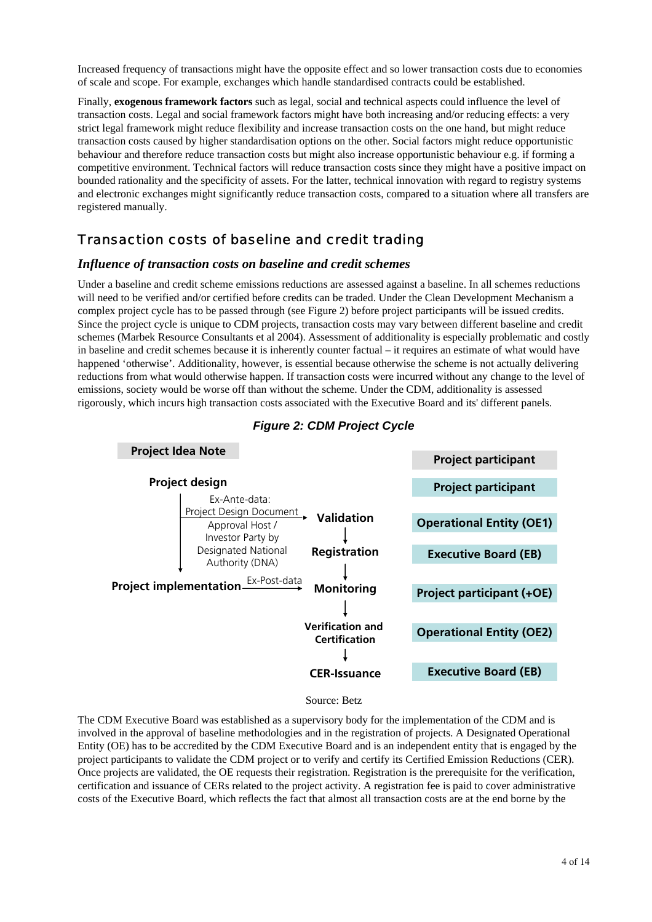Increased frequency of transactions might have the opposite effect and so lower transaction costs due to economies of scale and scope. For example, exchanges which handle standardised contracts could be established.

Finally, **exogenous framework factors** such as legal, social and technical aspects could influence the level of transaction costs. Legal and social framework factors might have both increasing and/or reducing effects: a very strict legal framework might reduce flexibility and increase transaction costs on the one hand, but might reduce transaction costs caused by higher standardisation options on the other. Social factors might reduce opportunistic behaviour and therefore reduce transaction costs but might also increase opportunistic behaviour e.g. if forming a competitive environment. Technical factors will reduce transaction costs since they might have a positive impact on bounded rationality and the specificity of assets. For the latter, technical innovation with regard to registry systems and electronic exchanges might significantly reduce transaction costs, compared to a situation where all transfers are registered manually.

### Transaction costs of baseline and credit trading

#### *Influence of transaction costs on baseline and credit schemes*

Under a baseline and credit scheme emissions reductions are assessed against a baseline. In all schemes reductions will need to be verified and/or certified before credits can be traded. Under the Clean Development Mechanism a complex project cycle has to be passed through (see Figure 2) before project participants will be issued credits. Since the project cycle is unique to CDM projects, transaction costs may vary between different baseline and credit schemes (Marbek Resource Consultants et al 2004). Assessment of additionality is especially problematic and costly in baseline and credit schemes because it is inherently counter factual – it requires an estimate of what would have happened 'otherwise'. Additionality, however, is essential because otherwise the scheme is not actually delivering reductions from what would otherwise happen. If transaction costs were incurred without any change to the level of emissions, society would be worse off than without the scheme. Under the CDM, additionality is assessed rigorously, which incurs high transaction costs associated with the Executive Board and its' different panels.



### *Figure 2: CDM Project Cycle*

Source: Betz

The CDM Executive Board was established as a supervisory body for the implementation of the CDM and is involved in the approval of baseline methodologies and in the registration of projects. A Designated Operational Entity (OE) has to be accredited by the CDM Executive Board and is an independent entity that is engaged by the project participants to validate the CDM project or to verify and certify its Certified Emission Reductions (CER). Once projects are validated, the OE requests their registration. Registration is the prerequisite for the verification, certification and issuance of CERs related to the project activity. A registration fee is paid to cover administrative costs of the Executive Board, which reflects the fact that almost all transaction costs are at the end borne by the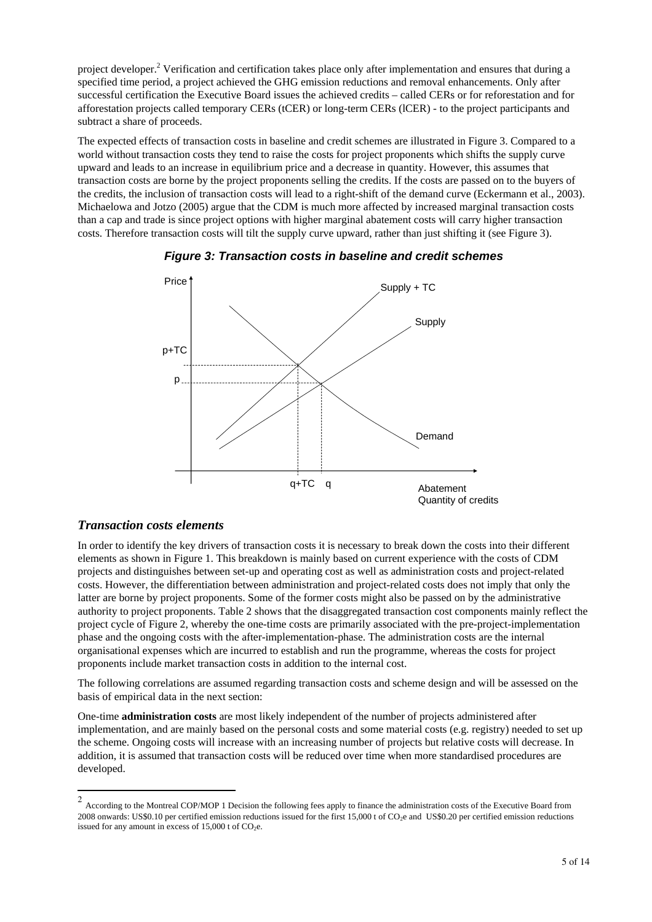project developer.<sup>2</sup> Verification and certification takes place only after implementation and ensures that during a specified time period, a project achieved the GHG emission reductions and removal enhancements. Only after successful certification the Executive Board issues the achieved credits – called CERs or for reforestation and for afforestation projects called temporary CERs (tCER) or long-term CERs (lCER) - to the project participants and subtract a share of proceeds.

The expected effects of transaction costs in baseline and credit schemes are illustrated in Figure 3. Compared to a world without transaction costs they tend to raise the costs for project proponents which shifts the supply curve upward and leads to an increase in equilibrium price and a decrease in quantity. However, this assumes that transaction costs are borne by the project proponents selling the credits. If the costs are passed on to the buyers of the credits, the inclusion of transaction costs will lead to a right-shift of the demand curve (Eckermann et al., 2003). Michaelowa and Jotzo (2005) argue that the CDM is much more affected by increased marginal transaction costs than a cap and trade is since project options with higher marginal abatement costs will carry higher transaction costs. Therefore transaction costs will tilt the supply curve upward, rather than just shifting it (see Figure 3).





#### *Transaction costs elements*

In order to identify the key drivers of transaction costs it is necessary to break down the costs into their different elements as shown in Figure 1. This breakdown is mainly based on current experience with the costs of CDM projects and distinguishes between set-up and operating cost as well as administration costs and project-related costs. However, the differentiation between administration and project-related costs does not imply that only the latter are borne by project proponents. Some of the former costs might also be passed on by the administrative authority to project proponents. Table 2 shows that the disaggregated transaction cost components mainly reflect the project cycle of Figure 2, whereby the one-time costs are primarily associated with the pre-project-implementation phase and the ongoing costs with the after-implementation-phase. The administration costs are the internal organisational expenses which are incurred to establish and run the programme, whereas the costs for project proponents include market transaction costs in addition to the internal cost.

The following correlations are assumed regarding transaction costs and scheme design and will be assessed on the basis of empirical data in the next section:

One-time **administration costs** are most likely independent of the number of projects administered after implementation, and are mainly based on the personal costs and some material costs (e.g. registry) needed to set up the scheme. Ongoing costs will increase with an increasing number of projects but relative costs will decrease. In addition, it is assumed that transaction costs will be reduced over time when more standardised procedures are developed.

<sup>&</sup>lt;sup>2</sup> According to the Montreal COP/MOP 1 Decision the following fees apply to finance the administration costs of the Executive Board from 2008 onwards: US\$0.10 per certified emission reductions issued for the first 15,000 t of  $CO_2e$  and US\$0.20 per certified emission reductions issued for any amount in excess of  $15,000$  t of CO<sub>2</sub>e.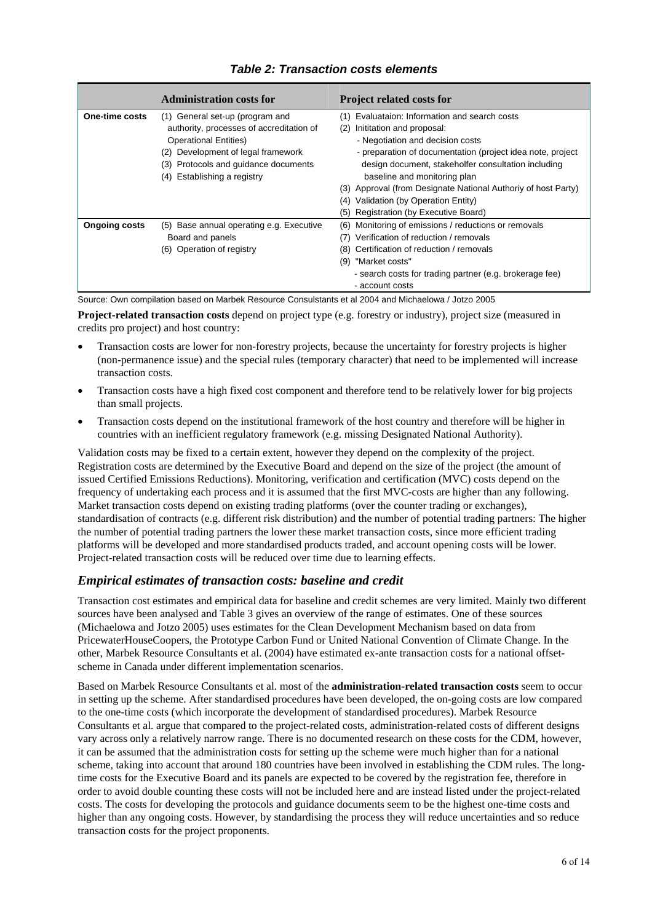#### **Administration costs for Project related costs for One-time costs** (1) General set-up (program and authority, processes of accreditation of Operational Entities) (2) Development of legal framework (3) Protocols and guidance documents (4) Establishing a registry (1) Evaluataion: Information and search costs (2) Inititation and proposal: - Negotiation and decision costs - preparation of documentation (project idea note, project design document, stakeholfer consultation including baseline and monitoring plan (3) Approval (from Designate National Authoriy of host Party) (4) Validation (by Operation Entity) (5) Registration (by Executive Board) **Ongoing costs** (5) Base annual operating e.g. Executive Board and panels (6) Operation of registry (6) Monitoring of emissions / reductions or removals (7) Verification of reduction / removals (8) Certification of reduction / removals (9) "Market costs" - search costs for trading partner (e.g. brokerage fee) - account costs

#### *Table 2: Transaction costs elements*

Source: Own compilation based on Marbek Resource Consulstants et al 2004 and Michaelowa / Jotzo 2005

**Project-related transaction costs** depend on project type (e.g. forestry or industry), project size (measured in credits pro project) and host country:

- Transaction costs are lower for non-forestry projects, because the uncertainty for forestry projects is higher (non-permanence issue) and the special rules (temporary character) that need to be implemented will increase transaction costs.
- Transaction costs have a high fixed cost component and therefore tend to be relatively lower for big projects than small projects.
- Transaction costs depend on the institutional framework of the host country and therefore will be higher in countries with an inefficient regulatory framework (e.g. missing Designated National Authority).

Validation costs may be fixed to a certain extent, however they depend on the complexity of the project. Registration costs are determined by the Executive Board and depend on the size of the project (the amount of issued Certified Emissions Reductions). Monitoring, verification and certification (MVC) costs depend on the frequency of undertaking each process and it is assumed that the first MVC-costs are higher than any following. Market transaction costs depend on existing trading platforms (over the counter trading or exchanges), standardisation of contracts (e.g. different risk distribution) and the number of potential trading partners: The higher the number of potential trading partners the lower these market transaction costs, since more efficient trading platforms will be developed and more standardised products traded, and account opening costs will be lower. Project-related transaction costs will be reduced over time due to learning effects.

#### *Empirical estimates of transaction costs: baseline and credit*

Transaction cost estimates and empirical data for baseline and credit schemes are very limited. Mainly two different sources have been analysed and Table 3 gives an overview of the range of estimates. One of these sources (Michaelowa and Jotzo 2005) uses estimates for the Clean Development Mechanism based on data from PricewaterHouseCoopers, the Prototype Carbon Fund or United National Convention of Climate Change. In the other, Marbek Resource Consultants et al. (2004) have estimated ex-ante transaction costs for a national offsetscheme in Canada under different implementation scenarios.

Based on Marbek Resource Consultants et al. most of the **administration-related transaction costs** seem to occur in setting up the scheme. After standardised procedures have been developed, the on-going costs are low compared to the one-time costs (which incorporate the development of standardised procedures). Marbek Resource Consultants et al. argue that compared to the project-related costs, administration-related costs of different designs vary across only a relatively narrow range. There is no documented research on these costs for the CDM, however, it can be assumed that the administration costs for setting up the scheme were much higher than for a national scheme, taking into account that around 180 countries have been involved in establishing the CDM rules. The longtime costs for the Executive Board and its panels are expected to be covered by the registration fee, therefore in order to avoid double counting these costs will not be included here and are instead listed under the project-related costs. The costs for developing the protocols and guidance documents seem to be the highest one-time costs and higher than any ongoing costs. However, by standardising the process they will reduce uncertainties and so reduce transaction costs for the project proponents.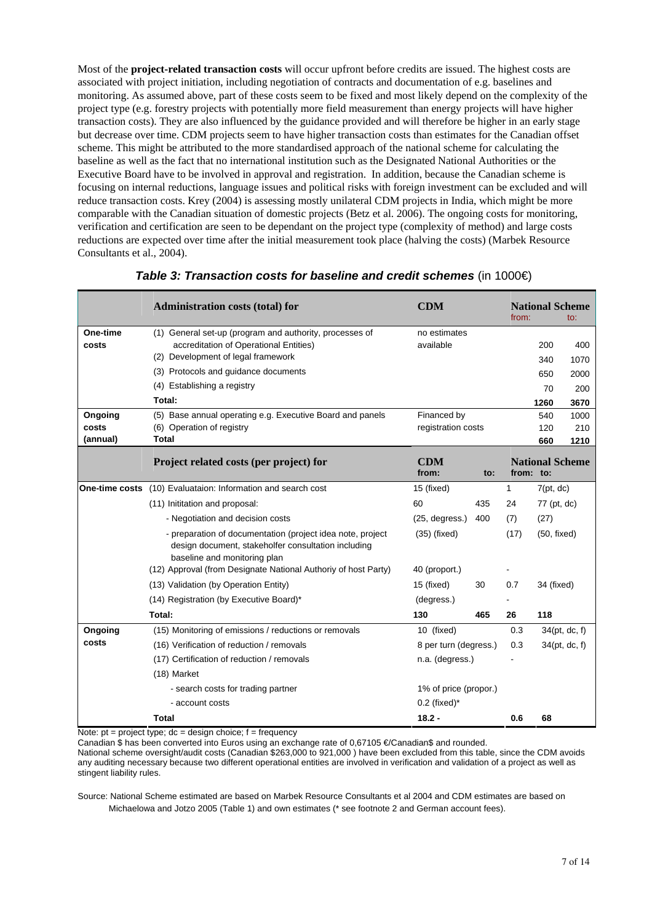Most of the **project-related transaction costs** will occur upfront before credits are issued. The highest costs are associated with project initiation, including negotiation of contracts and documentation of e.g. baselines and monitoring. As assumed above, part of these costs seem to be fixed and most likely depend on the complexity of the project type (e.g. forestry projects with potentially more field measurement than energy projects will have higher transaction costs). They are also influenced by the guidance provided and will therefore be higher in an early stage but decrease over time. CDM projects seem to have higher transaction costs than estimates for the Canadian offset scheme. This might be attributed to the more standardised approach of the national scheme for calculating the baseline as well as the fact that no international institution such as the Designated National Authorities or the Executive Board have to be involved in approval and registration. In addition, because the Canadian scheme is focusing on internal reductions, language issues and political risks with foreign investment can be excluded and will reduce transaction costs. Krey (2004) is assessing mostly unilateral CDM projects in India, which might be more comparable with the Canadian situation of domestic projects (Betz et al. 2006). The ongoing costs for monitoring, verification and certification are seen to be dependant on the project type (complexity of method) and large costs reductions are expected over time after the initial measurement took place (halving the costs) (Marbek Resource Consultants et al., 2004).

|                | <b>Administration costs (total) for</b>                                                                                                           | <b>CDM</b>            |                    | from:     |             | <b>National Scheme</b><br>to: |
|----------------|---------------------------------------------------------------------------------------------------------------------------------------------------|-----------------------|--------------------|-----------|-------------|-------------------------------|
| One-time       | (1) General set-up (program and authority, processes of                                                                                           | no estimates          |                    |           |             |                               |
| costs          | accreditation of Operational Entities)                                                                                                            | available             |                    |           | 200         | 400                           |
|                | (2) Development of legal framework                                                                                                                |                       |                    |           | 340         | 1070                          |
|                | (3) Protocols and guidance documents                                                                                                              |                       |                    |           | 650         | 2000                          |
|                | (4) Establishing a registry                                                                                                                       |                       |                    |           | 70          | 200                           |
|                | Total:                                                                                                                                            |                       |                    |           | 1260        | 3670                          |
| Ongoing        | (5) Base annual operating e.g. Executive Board and panels                                                                                         | Financed by           |                    |           | 540         | 1000                          |
| costs          | (6) Operation of registry                                                                                                                         |                       | registration costs |           | 120         | 210                           |
| (annual)       | <b>Total</b>                                                                                                                                      |                       |                    |           | 660         | 1210                          |
|                | Project related costs (per project) for                                                                                                           | <b>CDM</b><br>from:   | to:                | from: to: |             | <b>National Scheme</b>        |
| One-time costs | (10) Evaluataion: Information and search cost                                                                                                     | 15 (fixed)            |                    | 1         | 7(pt, dc)   |                               |
|                | (11) Inititation and proposal:                                                                                                                    | 60                    | 435                | 24        | 77 (pt, dc) |                               |
|                | - Negotiation and decision costs                                                                                                                  | (25, degrees.)        | 400                | (7)       | (27)        |                               |
|                | - preparation of documentation (project idea note, project<br>design document, stakeholfer consultation including<br>baseline and monitoring plan | $(35)$ (fixed)        |                    | (17)      | (50, fixed) |                               |
|                | (12) Approval (from Designate National Authoriy of host Party)                                                                                    | 40 (proport.)         |                    |           |             |                               |
|                | (13) Validation (by Operation Entity)                                                                                                             | 15 (fixed)            | 30                 | 0.7       | 34 (fixed)  |                               |
|                | (14) Registration (by Executive Board)*                                                                                                           | (degress.)            |                    |           |             |                               |
|                | Total:                                                                                                                                            | 130                   | 465                | 26        | 118         |                               |
| Ongoing        | (15) Monitoring of emissions / reductions or removals                                                                                             | 10 (fixed)            |                    | 0.3       |             | 34(pt, dc, f)                 |
| costs          | (16) Verification of reduction / removals                                                                                                         | 8 per turn (degress.) |                    | 0.3       |             | 34(pt, dc, f)                 |
|                | (17) Certification of reduction / removals                                                                                                        |                       | n.a. (degress.)    |           |             |                               |
|                | (18) Market                                                                                                                                       |                       |                    |           |             |                               |
|                | - search costs for trading partner                                                                                                                | 1% of price (propor.) |                    |           |             |                               |
|                | - account costs                                                                                                                                   | $0.2$ (fixed)*        |                    |           |             |                               |
|                | Total                                                                                                                                             | $18.2 -$              |                    | 0.6       | 68          |                               |

#### **Table 3: Transaction costs for baseline and credit schemes (in 1000€)**

Note:  $pt = project$  type;  $dc = design$  choice;  $f = frequency$ 

Canadian \$ has been converted into Euros using an exchange rate of 0,67105 €/Canadian\$ and rounded.

National scheme oversight/audit costs (Canadian \$263,000 to 921,000 ) have been excluded from this table, since the CDM avoids any auditing necessary because two different operational entities are involved in verification and validation of a project as well as stingent liability rules.

Source: National Scheme estimated are based on Marbek Resource Consultants et al 2004 and CDM estimates are based on Michaelowa and Jotzo 2005 (Table 1) and own estimates (\* see footnote 2 and German account fees).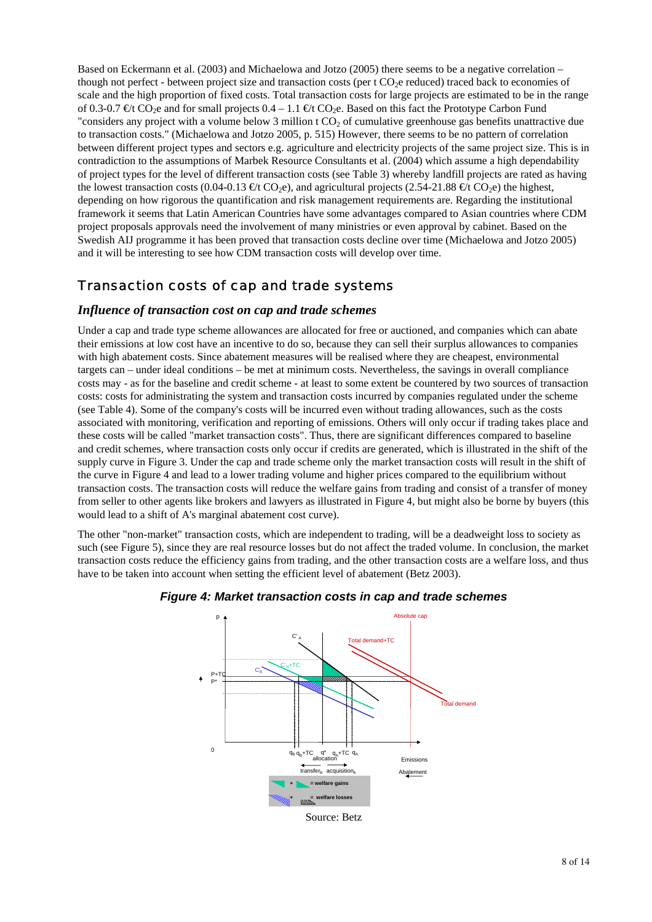Based on Eckermann et al. (2003) and Michaelowa and Jotzo (2005) there seems to be a negative correlation – though not perfect - between project size and transaction costs (per t CO<sub>2</sub>e reduced) traced back to economies of scale and the high proportion of fixed costs. Total transaction costs for large projects are estimated to be in the range of 0.3-0.7  $\epsilon t$  CO<sub>2</sub>e and for small projects 0.4 – 1.1  $\epsilon t$  CO<sub>2</sub>e. Based on this fact the Prototype Carbon Fund "considers any project with a volume below 3 million  $t CO<sub>2</sub>$  of cumulative greenhouse gas benefits unattractive due to transaction costs." (Michaelowa and Jotzo 2005, p. 515) However, there seems to be no pattern of correlation between different project types and sectors e.g. agriculture and electricity projects of the same project size. This is in contradiction to the assumptions of Marbek Resource Consultants et al. (2004) which assume a high dependability of project types for the level of different transaction costs (see Table 3) whereby landfill projects are rated as having the lowest transaction costs  $(0.04-0.13 \text{ }\text{C})$  CO<sub>2</sub>e), and agricultural projects  $(2.54-21.88 \text{ }\text{C})$  the highest, depending on how rigorous the quantification and risk management requirements are. Regarding the institutional framework it seems that Latin American Countries have some advantages compared to Asian countries where CDM project proposals approvals need the involvement of many ministries or even approval by cabinet. Based on the Swedish AIJ programme it has been proved that transaction costs decline over time (Michaelowa and Jotzo 2005) and it will be interesting to see how CDM transaction costs will develop over time.

### Transaction costs of cap and trade systems

#### *Influence of transaction cost on cap and trade schemes*

Under a cap and trade type scheme allowances are allocated for free or auctioned, and companies which can abate their emissions at low cost have an incentive to do so, because they can sell their surplus allowances to companies with high abatement costs. Since abatement measures will be realised where they are cheapest, environmental targets can – under ideal conditions – be met at minimum costs. Nevertheless, the savings in overall compliance costs may - as for the baseline and credit scheme - at least to some extent be countered by two sources of transaction costs: costs for administrating the system and transaction costs incurred by companies regulated under the scheme (see Table 4). Some of the company's costs will be incurred even without trading allowances, such as the costs associated with monitoring, verification and reporting of emissions. Others will only occur if trading takes place and these costs will be called "market transaction costs". Thus, there are significant differences compared to baseline and credit schemes, where transaction costs only occur if credits are generated, which is illustrated in the shift of the supply curve in Figure 3. Under the cap and trade scheme only the market transaction costs will result in the shift of the curve in Figure 4 and lead to a lower trading volume and higher prices compared to the equilibrium without transaction costs. The transaction costs will reduce the welfare gains from trading and consist of a transfer of money from seller to other agents like brokers and lawyers as illustrated in Figure 4, but might also be borne by buyers (this would lead to a shift of A's marginal abatement cost curve).

The other "non-market" transaction costs, which are independent to trading, will be a deadweight loss to society as such (see Figure 5), since they are real resource losses but do not affect the traded volume. In conclusion, the market transaction costs reduce the efficiency gains from trading, and the other transaction costs are a welfare loss, and thus have to be taken into account when setting the efficient level of abatement (Betz 2003).



#### *Figure 4: Market transaction costs in cap and trade schemes*

Source: Betz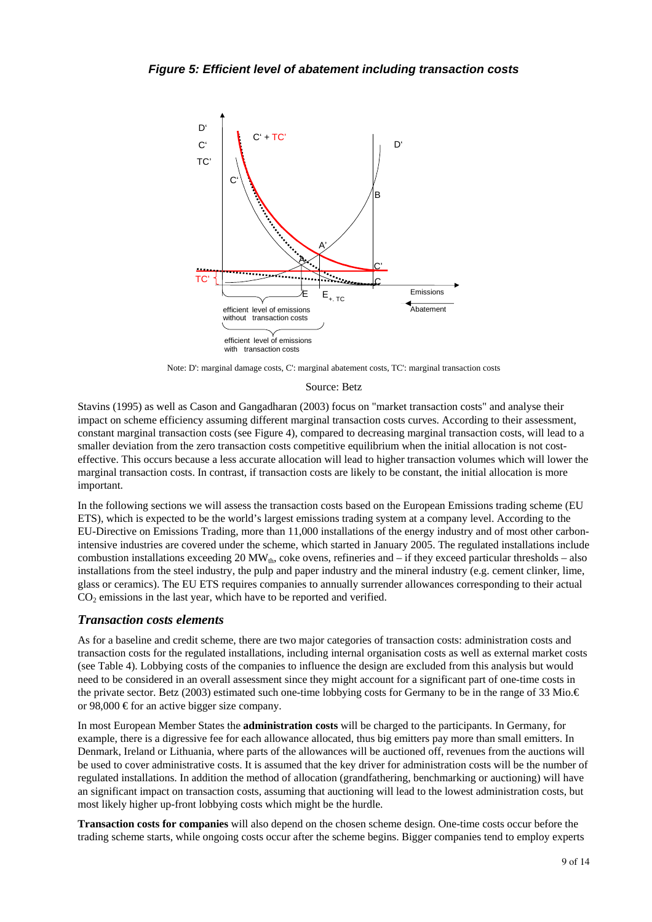

Note: D': marginal damage costs, C': marginal abatement costs, TC': marginal transaction costs

#### Source: Betz

Stavins (1995) as well as Cason and Gangadharan (2003) focus on "market transaction costs" and analyse their impact on scheme efficiency assuming different marginal transaction costs curves. According to their assessment, constant marginal transaction costs (see Figure 4), compared to decreasing marginal transaction costs, will lead to a smaller deviation from the zero transaction costs competitive equilibrium when the initial allocation is not costeffective. This occurs because a less accurate allocation will lead to higher transaction volumes which will lower the marginal transaction costs. In contrast, if transaction costs are likely to be constant, the initial allocation is more important.

In the following sections we will assess the transaction costs based on the European Emissions trading scheme (EU ETS), which is expected to be the world's largest emissions trading system at a company level. According to the EU-Directive on Emissions Trading, more than 11,000 installations of the energy industry and of most other carbonintensive industries are covered under the scheme, which started in January 2005. The regulated installations include combustion installations exceeding 20 MW<sub>th</sub>, coke ovens, refineries and – if they exceed particular thresholds – also installations from the steel industry, the pulp and paper industry and the mineral industry (e.g. cement clinker, lime, glass or ceramics). The EU ETS requires companies to annually surrender allowances corresponding to their actual  $CO<sub>2</sub>$  emissions in the last year, which have to be reported and verified.

#### *Transaction costs elements*

As for a baseline and credit scheme, there are two major categories of transaction costs: administration costs and transaction costs for the regulated installations, including internal organisation costs as well as external market costs (see Table 4). Lobbying costs of the companies to influence the design are excluded from this analysis but would need to be considered in an overall assessment since they might account for a significant part of one-time costs in the private sector. Betz (2003) estimated such one-time lobbying costs for Germany to be in the range of 33 Mio.€ or 98,000  $\epsilon$  for an active bigger size company.

In most European Member States the **administration costs** will be charged to the participants. In Germany, for example, there is a digressive fee for each allowance allocated, thus big emitters pay more than small emitters. In Denmark, Ireland or Lithuania, where parts of the allowances will be auctioned off, revenues from the auctions will be used to cover administrative costs. It is assumed that the key driver for administration costs will be the number of regulated installations. In addition the method of allocation (grandfathering, benchmarking or auctioning) will have an significant impact on transaction costs, assuming that auctioning will lead to the lowest administration costs, but most likely higher up-front lobbying costs which might be the hurdle.

**Transaction costs for companies** will also depend on the chosen scheme design. One-time costs occur before the trading scheme starts, while ongoing costs occur after the scheme begins. Bigger companies tend to employ experts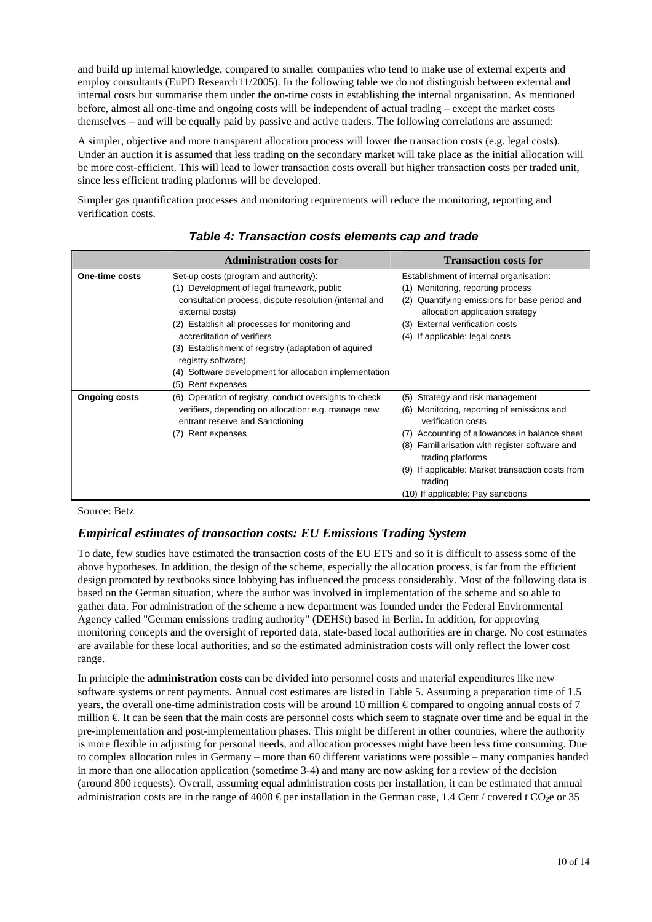and build up internal knowledge, compared to smaller companies who tend to make use of external experts and employ consultants (EuPD Research11/2005). In the following table we do not distinguish between external and internal costs but summarise them under the on-time costs in establishing the internal organisation. As mentioned before, almost all one-time and ongoing costs will be independent of actual trading – except the market costs themselves – and will be equally paid by passive and active traders. The following correlations are assumed:

A simpler, objective and more transparent allocation process will lower the transaction costs (e.g. legal costs). Under an auction it is assumed that less trading on the secondary market will take place as the initial allocation will be more cost-efficient. This will lead to lower transaction costs overall but higher transaction costs per traded unit, since less efficient trading platforms will be developed.

Simpler gas quantification processes and monitoring requirements will reduce the monitoring, reporting and verification costs.

|                      | <b>Administration costs for</b>                                                        | <b>Transaction costs for</b>                                                        |
|----------------------|----------------------------------------------------------------------------------------|-------------------------------------------------------------------------------------|
| One-time costs       | Set-up costs (program and authority):<br>(1) Development of legal framework, public    | Establishment of internal organisation:<br>(1) Monitoring, reporting process        |
|                      | consultation process, dispute resolution (internal and<br>external costs)              | Quantifying emissions for base period and<br>(2)<br>allocation application strategy |
|                      | (2) Establish all processes for monitoring and<br>accreditation of verifiers           | <b>External verification costs</b><br>(3)<br>If applicable: legal costs<br>(4)      |
|                      | (3) Establishment of registry (adaptation of aquired<br>registry software)             |                                                                                     |
|                      | (4) Software development for allocation implementation                                 |                                                                                     |
|                      | (5)<br>Rent expenses                                                                   |                                                                                     |
| <b>Ongoing costs</b> | Operation of registry, conduct oversights to check<br>(6)                              | Strategy and risk management<br>(5)                                                 |
|                      | verifiers, depending on allocation: e.g. manage new<br>entrant reserve and Sanctioning | Monitoring, reporting of emissions and<br>(6)<br>verification costs                 |
|                      | Rent expenses<br>(7)                                                                   | Accounting of allowances in balance sheet<br>(7)                                    |
|                      |                                                                                        | Familiarisation with register software and<br>(8)<br>trading platforms              |
|                      |                                                                                        | (9) If applicable: Market transaction costs from<br>trading                         |
|                      |                                                                                        | (10) If applicable: Pay sanctions                                                   |

*Table 4: Transaction costs elements cap and trade* 

Source: Betz

### *Empirical estimates of transaction costs: EU Emissions Trading System*

To date, few studies have estimated the transaction costs of the EU ETS and so it is difficult to assess some of the above hypotheses. In addition, the design of the scheme, especially the allocation process, is far from the efficient design promoted by textbooks since lobbying has influenced the process considerably. Most of the following data is based on the German situation, where the author was involved in implementation of the scheme and so able to gather data. For administration of the scheme a new department was founded under the Federal Environmental Agency called "German emissions trading authority" (DEHSt) based in Berlin. In addition, for approving monitoring concepts and the oversight of reported data, state-based local authorities are in charge. No cost estimates are available for these local authorities, and so the estimated administration costs will only reflect the lower cost range.

In principle the **administration costs** can be divided into personnel costs and material expenditures like new software systems or rent payments. Annual cost estimates are listed in Table 5. Assuming a preparation time of 1.5 years, the overall one-time administration costs will be around 10 million  $\epsilon$  compared to ongoing annual costs of 7 million €. It can be seen that the main costs are personnel costs which seem to stagnate over time and be equal in the pre-implementation and post-implementation phases. This might be different in other countries, where the authority is more flexible in adjusting for personal needs, and allocation processes might have been less time consuming. Due to complex allocation rules in Germany – more than 60 different variations were possible – many companies handed in more than one allocation application (sometime 3-4) and many are now asking for a review of the decision (around 800 requests). Overall, assuming equal administration costs per installation, it can be estimated that annual administration costs are in the range of 4000 € per installation in the German case, 1.4 Cent / covered t CO<sub>2</sub>e or 35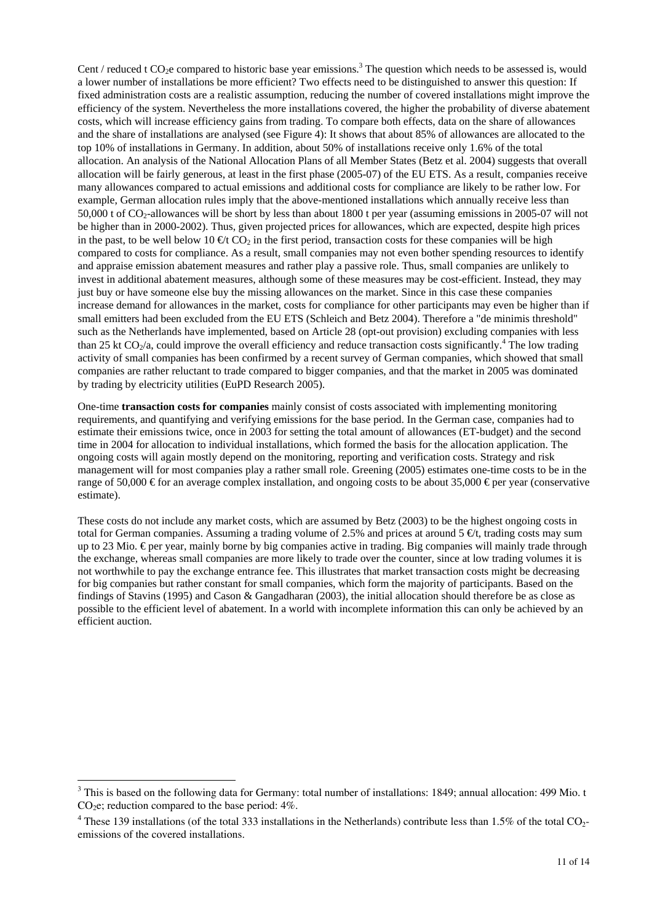Cent / reduced t  $CO<sub>2</sub>e$  compared to historic base year emissions.<sup>3</sup> The question which needs to be assessed is, would a lower number of installations be more efficient? Two effects need to be distinguished to answer this question: If fixed administration costs are a realistic assumption, reducing the number of covered installations might improve the efficiency of the system. Nevertheless the more installations covered, the higher the probability of diverse abatement costs, which will increase efficiency gains from trading. To compare both effects, data on the share of allowances and the share of installations are analysed (see Figure 4): It shows that about 85% of allowances are allocated to the top 10% of installations in Germany. In addition, about 50% of installations receive only 1.6% of the total allocation. An analysis of the National Allocation Plans of all Member States (Betz et al. 2004) suggests that overall allocation will be fairly generous, at least in the first phase (2005-07) of the EU ETS. As a result, companies receive many allowances compared to actual emissions and additional costs for compliance are likely to be rather low. For example, German allocation rules imply that the above-mentioned installations which annually receive less than 50,000 t of CO2-allowances will be short by less than about 1800 t per year (assuming emissions in 2005-07 will not be higher than in 2000-2002). Thus, given projected prices for allowances, which are expected, despite high prices in the past, to be well below 10  $\oplus t$  CO<sub>2</sub> in the first period, transaction costs for these companies will be high compared to costs for compliance. As a result, small companies may not even bother spending resources to identify and appraise emission abatement measures and rather play a passive role. Thus, small companies are unlikely to invest in additional abatement measures, although some of these measures may be cost-efficient. Instead, they may just buy or have someone else buy the missing allowances on the market. Since in this case these companies increase demand for allowances in the market, costs for compliance for other participants may even be higher than if small emitters had been excluded from the EU ETS (Schleich and Betz 2004). Therefore a "de minimis threshold" such as the Netherlands have implemented, based on Article 28 (opt-out provision) excluding companies with less than 25 kt  $CO_2/a$ , could improve the overall efficiency and reduce transaction costs significantly.<sup>4</sup> The low trading activity of small companies has been confirmed by a recent survey of German companies, which showed that small companies are rather reluctant to trade compared to bigger companies, and that the market in 2005 was dominated by trading by electricity utilities (EuPD Research 2005).

One-time **transaction costs for companies** mainly consist of costs associated with implementing monitoring requirements, and quantifying and verifying emissions for the base period. In the German case, companies had to estimate their emissions twice, once in 2003 for setting the total amount of allowances (ET-budget) and the second time in 2004 for allocation to individual installations, which formed the basis for the allocation application. The ongoing costs will again mostly depend on the monitoring, reporting and verification costs. Strategy and risk management will for most companies play a rather small role. Greening (2005) estimates one-time costs to be in the range of 50,000 € for an average complex installation, and ongoing costs to be about 35,000 € per year (conservative estimate).

These costs do not include any market costs, which are assumed by Betz (2003) to be the highest ongoing costs in total for German companies. Assuming a trading volume of 2.5% and prices at around 5  $\epsilon t$ , trading costs may sum up to 23 Mio. € per year, mainly borne by big companies active in trading. Big companies will mainly trade through the exchange, whereas small companies are more likely to trade over the counter, since at low trading volumes it is not worthwhile to pay the exchange entrance fee. This illustrates that market transaction costs might be decreasing for big companies but rather constant for small companies, which form the majority of participants. Based on the findings of Stavins (1995) and Cason & Gangadharan (2003), the initial allocation should therefore be as close as possible to the efficient level of abatement. In a world with incomplete information this can only be achieved by an efficient auction.

 $\overline{a}$ 

 $3$  This is based on the following data for Germany: total number of installations: 1849; annual allocation: 499 Mio. t  $CO<sub>2</sub>e$ ; reduction compared to the base period:  $4\%$ .

 $4$  These 139 installations (of the total 333 installations in the Netherlands) contribute less than 1.5% of the total CO<sub>2</sub>emissions of the covered installations.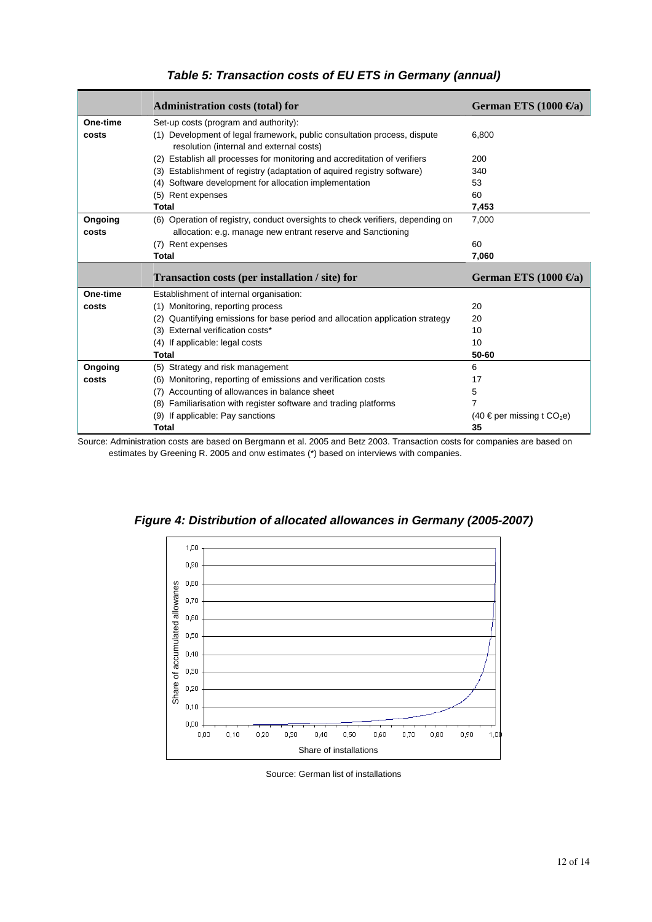|          | <b>Administration costs (total) for</b>                                                                              | German ETS $(1000 \,\Theta a)$             |
|----------|----------------------------------------------------------------------------------------------------------------------|--------------------------------------------|
| One-time | Set-up costs (program and authority):                                                                                |                                            |
| costs    | (1) Development of legal framework, public consultation process, dispute<br>resolution (internal and external costs) | 6,800                                      |
|          | (2) Establish all processes for monitoring and accreditation of verifiers                                            | 200                                        |
|          | (3) Establishment of registry (adaptation of aquired registry software)                                              | 340                                        |
|          | (4) Software development for allocation implementation                                                               | 53                                         |
|          | (5) Rent expenses                                                                                                    | 60                                         |
|          | Total                                                                                                                | 7,453                                      |
| Ongoing  | (6) Operation of registry, conduct oversights to check verifiers, depending on                                       | 7,000                                      |
| costs    | allocation: e.g. manage new entrant reserve and Sanctioning                                                          |                                            |
|          | (7) Rent expenses                                                                                                    | 60                                         |
|          | Total                                                                                                                | 7,060                                      |
|          |                                                                                                                      |                                            |
|          | Transaction costs (per installation / site) for                                                                      | German ETS $(1000 \,\Theta a)$             |
| One-time | Establishment of internal organisation:                                                                              |                                            |
| costs    | (1) Monitoring, reporting process                                                                                    | 20                                         |
|          | (2) Quantifying emissions for base period and allocation application strategy                                        | 20                                         |
|          | (3) External verification costs*                                                                                     | 10                                         |
|          | (4) If applicable: legal costs                                                                                       | 10                                         |
|          | Total                                                                                                                | 50-60                                      |
| Ongoing  | (5) Strategy and risk management                                                                                     | 6                                          |
| costs    | (6) Monitoring, reporting of emissions and verification costs                                                        | 17                                         |
|          | Accounting of allowances in balance sheet<br>(7)                                                                     | 5                                          |
|          | (8) Familiarisation with register software and trading platforms                                                     | 7                                          |
|          | (9) If applicable: Pay sanctions                                                                                     | $(40 \in$ per missing t CO <sub>2</sub> e) |

#### *Table 5: Transaction costs of EU ETS in Germany (annual)*

Source: Administration costs are based on Bergmann et al. 2005 and Betz 2003. Transaction costs for companies are based on estimates by Greening R. 2005 and onw estimates (\*) based on interviews with companies.



*Figure 4: Distribution of allocated allowances in Germany (2005-2007)* 

Source: German list of installations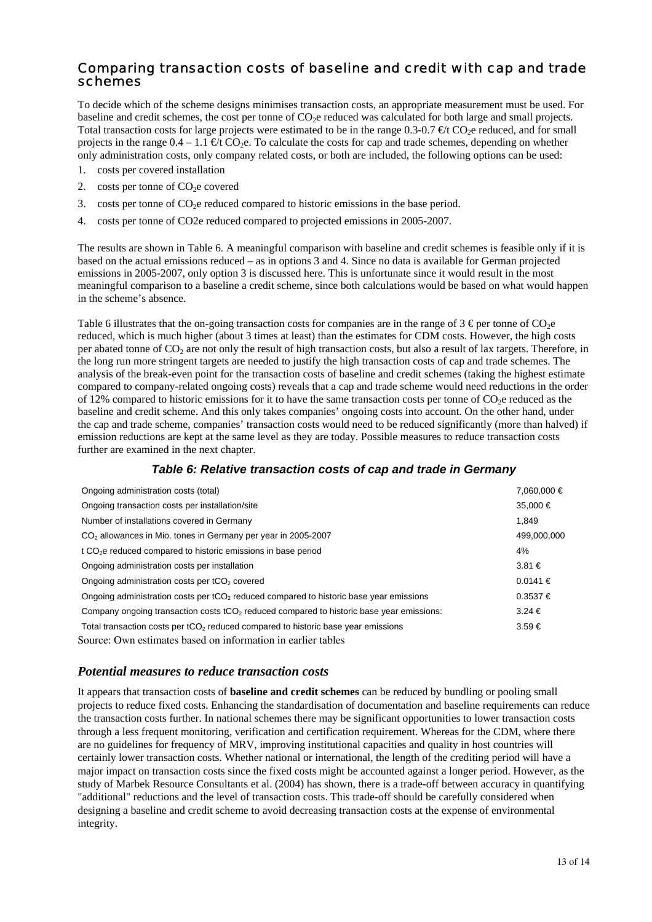### *Comparing transaction costs of baseline and credit with cap and trade schemes*

To decide which of the scheme designs minimises transaction costs, an appropriate measurement must be used. For baseline and credit schemes, the cost per tonne of CO2e reduced was calculated for both large and small projects. Total transaction costs for large projects were estimated to be in the range 0.3-0.7  $\text{\textcircled{et}}$  CO<sub>2</sub>e reduced, and for small projects in the range  $0.4 - 1.1 \oplus t \text{ CO}_2$ . To calculate the costs for cap and trade schemes, depending on whether only administration costs, only company related costs, or both are included, the following options can be used:

- 1. costs per covered installation
- 2. costs per tonne of  $CO<sub>2</sub>e$  covered
- 3. costs per tonne of  $CO<sub>2</sub>e$  reduced compared to historic emissions in the base period.
- 4. costs per tonne of CO2e reduced compared to projected emissions in 2005-2007.

The results are shown in Table 6. A meaningful comparison with baseline and credit schemes is feasible only if it is based on the actual emissions reduced – as in options 3 and 4. Since no data is available for German projected emissions in 2005-2007, only option 3 is discussed here. This is unfortunate since it would result in the most meaningful comparison to a baseline a credit scheme, since both calculations would be based on what would happen in the scheme's absence.

Table 6 illustrates that the on-going transaction costs for companies are in the range of  $3 \epsilon$  per tonne of CO<sub>2</sub>e reduced, which is much higher (about 3 times at least) than the estimates for CDM costs. However, the high costs per abated tonne of  $CO_2$  are not only the result of high transaction costs, but also a result of lax targets. Therefore, in the long run more stringent targets are needed to justify the high transaction costs of cap and trade schemes. The analysis of the break-even point for the transaction costs of baseline and credit schemes (taking the highest estimate compared to company-related ongoing costs) reveals that a cap and trade scheme would need reductions in the order of 12% compared to historic emissions for it to have the same transaction costs per tonne of  $CO<sub>2</sub>e$  reduced as the baseline and credit scheme. And this only takes companies' ongoing costs into account. On the other hand, under the cap and trade scheme, companies' transaction costs would need to be reduced significantly (more than halved) if emission reductions are kept at the same level as they are today. Possible measures to reduce transaction costs further are examined in the next chapter.

#### *Table 6: Relative transaction costs of cap and trade in Germany*

| Ongoing administration costs (total)                                                                 | 7,060,000 €  |
|------------------------------------------------------------------------------------------------------|--------------|
| Ongoing transaction costs per installation/site                                                      | 35,000 €     |
| Number of installations covered in Germany                                                           | 1.849        |
| CO <sub>2</sub> allowances in Mio. tones in Germany per year in 2005-2007                            | 499,000,000  |
| t CO <sub>2</sub> e reduced compared to historic emissions in base period                            | 4%           |
| Ongoing administration costs per installation                                                        | $3.81 \in$   |
| Ongoing administration costs per tCO <sub>2</sub> covered                                            | $0.0141 \in$ |
| Ongoing administration costs per tCO <sub>2</sub> reduced compared to historic base year emissions   | $0.3537 \in$ |
| Company ongoing transaction costs tCO <sub>2</sub> reduced compared to historic base year emissions: | $3.24 \in$   |
| Total transaction costs per tCO <sub>2</sub> reduced compared to historic base year emissions        | $3.59 \in$   |
| Source: Own estimates based on information in earlier tables                                         |              |

#### *Potential measures to reduce transaction costs*

It appears that transaction costs of **baseline and credit schemes** can be reduced by bundling or pooling small projects to reduce fixed costs. Enhancing the standardisation of documentation and baseline requirements can reduce the transaction costs further. In national schemes there may be significant opportunities to lower transaction costs through a less frequent monitoring, verification and certification requirement. Whereas for the CDM, where there are no guidelines for frequency of MRV, improving institutional capacities and quality in host countries will certainly lower transaction costs. Whether national or international, the length of the crediting period will have a major impact on transaction costs since the fixed costs might be accounted against a longer period. However, as the study of Marbek Resource Consultants et al. (2004) has shown, there is a trade-off between accuracy in quantifying "additional" reductions and the level of transaction costs. This trade-off should be carefully considered when designing a baseline and credit scheme to avoid decreasing transaction costs at the expense of environmental integrity.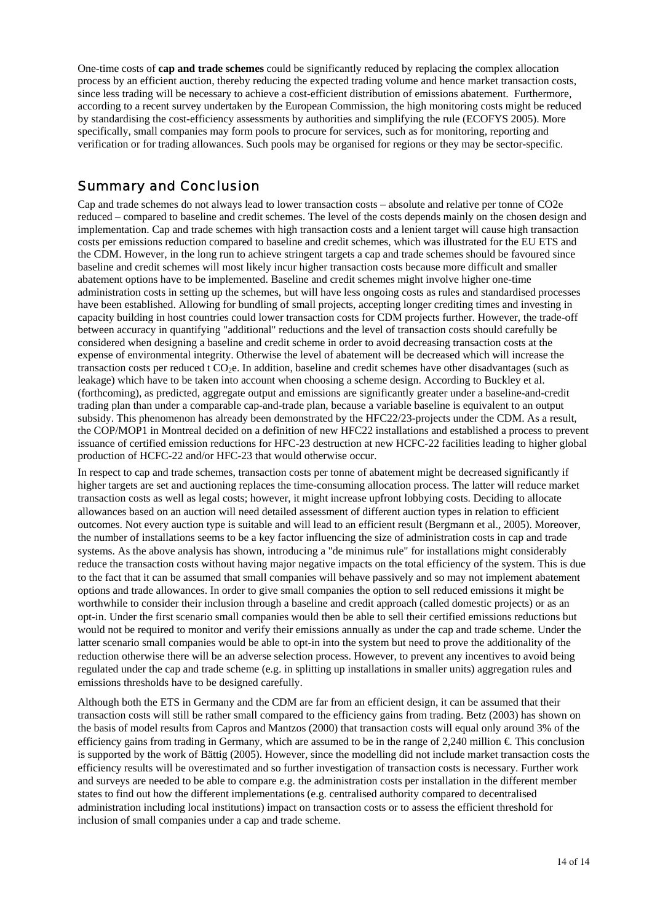One-time costs of **cap and trade schemes** could be significantly reduced by replacing the complex allocation process by an efficient auction, thereby reducing the expected trading volume and hence market transaction costs, since less trading will be necessary to achieve a cost-efficient distribution of emissions abatement. Furthermore, according to a recent survey undertaken by the European Commission, the high monitoring costs might be reduced by standardising the cost-efficiency assessments by authorities and simplifying the rule (ECOFYS 2005). More specifically, small companies may form pools to procure for services, such as for monitoring, reporting and verification or for trading allowances. Such pools may be organised for regions or they may be sector-specific.

### *Summary and Conclusion*

Cap and trade schemes do not always lead to lower transaction costs – absolute and relative per tonne of CO2e reduced – compared to baseline and credit schemes. The level of the costs depends mainly on the chosen design and implementation. Cap and trade schemes with high transaction costs and a lenient target will cause high transaction costs per emissions reduction compared to baseline and credit schemes, which was illustrated for the EU ETS and the CDM. However, in the long run to achieve stringent targets a cap and trade schemes should be favoured since baseline and credit schemes will most likely incur higher transaction costs because more difficult and smaller abatement options have to be implemented. Baseline and credit schemes might involve higher one-time administration costs in setting up the schemes, but will have less ongoing costs as rules and standardised processes have been established. Allowing for bundling of small projects, accepting longer crediting times and investing in capacity building in host countries could lower transaction costs for CDM projects further. However, the trade-off between accuracy in quantifying "additional" reductions and the level of transaction costs should carefully be considered when designing a baseline and credit scheme in order to avoid decreasing transaction costs at the expense of environmental integrity. Otherwise the level of abatement will be decreased which will increase the transaction costs per reduced t CO<sub>2</sub>e. In addition, baseline and credit schemes have other disadvantages (such as leakage) which have to be taken into account when choosing a scheme design. According to Buckley et al. (forthcoming), as predicted, aggregate output and emissions are significantly greater under a baseline-and-credit trading plan than under a comparable cap-and-trade plan, because a variable baseline is equivalent to an output subsidy. This phenomenon has already been demonstrated by the HFC22/23-projects under the CDM. As a result, the COP/MOP1 in Montreal decided on a definition of new HFC22 installations and established a process to prevent issuance of certified emission reductions for HFC-23 destruction at new HCFC-22 facilities leading to higher global production of HCFC-22 and/or HFC-23 that would otherwise occur.

In respect to cap and trade schemes, transaction costs per tonne of abatement might be decreased significantly if higher targets are set and auctioning replaces the time-consuming allocation process. The latter will reduce market transaction costs as well as legal costs; however, it might increase upfront lobbying costs. Deciding to allocate allowances based on an auction will need detailed assessment of different auction types in relation to efficient outcomes. Not every auction type is suitable and will lead to an efficient result (Bergmann et al., 2005). Moreover, the number of installations seems to be a key factor influencing the size of administration costs in cap and trade systems. As the above analysis has shown, introducing a "de minimus rule" for installations might considerably reduce the transaction costs without having major negative impacts on the total efficiency of the system. This is due to the fact that it can be assumed that small companies will behave passively and so may not implement abatement options and trade allowances. In order to give small companies the option to sell reduced emissions it might be worthwhile to consider their inclusion through a baseline and credit approach (called domestic projects) or as an opt-in. Under the first scenario small companies would then be able to sell their certified emissions reductions but would not be required to monitor and verify their emissions annually as under the cap and trade scheme. Under the latter scenario small companies would be able to opt-in into the system but need to prove the additionality of the reduction otherwise there will be an adverse selection process. However, to prevent any incentives to avoid being regulated under the cap and trade scheme (e.g. in splitting up installations in smaller units) aggregation rules and emissions thresholds have to be designed carefully.

Although both the ETS in Germany and the CDM are far from an efficient design, it can be assumed that their transaction costs will still be rather small compared to the efficiency gains from trading. Betz (2003) has shown on the basis of model results from Capros and Mantzos (2000) that transaction costs will equal only around 3% of the efficiency gains from trading in Germany, which are assumed to be in the range of 2,240 million  $\epsilon$ . This conclusion is supported by the work of Bättig (2005). However, since the modelling did not include market transaction costs the efficiency results will be overestimated and so further investigation of transaction costs is necessary. Further work and surveys are needed to be able to compare e.g. the administration costs per installation in the different member states to find out how the different implementations (e.g. centralised authority compared to decentralised administration including local institutions) impact on transaction costs or to assess the efficient threshold for inclusion of small companies under a cap and trade scheme.